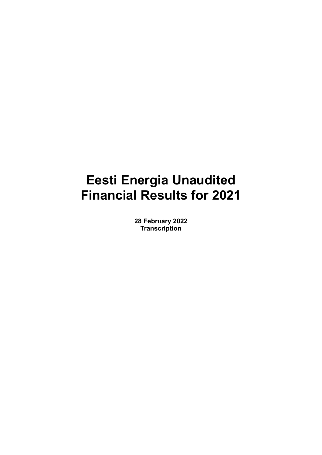# **Eesti Energia Unaudited Financial Results for 2021**

**28 February 2022 Transcription**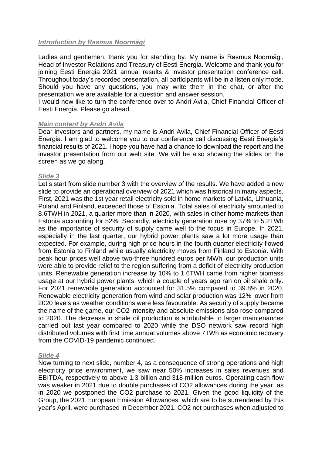## *Introduction by Rasmus Noormägi*

Ladies and gentlemen, thank you for standing by. My name is Rasmus Noormägi, Head of Investor Relations and Treasury of Eesti Energia. Welcome and thank you for joining Eesti Energia 2021 annual results & investor presentation conference call. Throughout today's recorded presentation, all participants will be in a listen only mode. Should you have any questions, you may write them in the chat, or after the presentation we are available for a question and answer session.

I would now like to turn the conference over to Andri Avila, Chief Financial Officer of Eesti Energia. Please go ahead.

## *Main content by Andri Avila*

Dear investors and partners, my name is Andri Avila, Chief Financial Officer of Eesti Energia. I am glad to welcome you to our conference call discussing Eesti Energia's financial results of 2021. I hope you have had a chance to download the report and the investor presentation from our web site. We will be also showing the slides on the screen as we go along.

## *Slide 3*

Let's start from slide number 3 with the overview of the results. We have added a new slide to provide an operational overview of 2021 which was historical in many aspects. First, 2021 was the 1st year retail electricity sold in home markets of Latvia, Lithuania, Poland and Finland, exceeded those of Estonia. Total sales of electricity amounted to 8.6TWH in 2021, a quarter more than in 2020, with sales in other home markets than Estonia accounting for 52%. Secondly, electricity generation rose by 37% to 5.2TWh as the importance of security of supply came well to the focus in Europe. In 2021, especially in the last quarter, our hybrid power plants saw a lot more usage than expected. For example, during high price hours in the fourth quarter electricity flowed from Estonia to Finland while usually electricity moves from Finland to Estonia. With peak hour prices well above two-three hundred euros per MWh, our production units were able to provide relief to the region suffering from a deficit of electricity production units. Renewable generation increase by 10% to 1.6TWH came from higher biomass usage at our hybrid power plants, which a couple of years ago ran on oil shale only. For 2021 renewable generation accounted for 31.5% compared to 39.8% in 2020. Renewable electricity generation from wind and solar production was 12% lower from 2020 levels as weather conditions were less favourable. As security of supply became the name of the game, our CO2 intensity and absolute emissions also rose compared to 2020. The decrease in shale oil production is attributable to larger maintenances carried out last year compared to 2020 while the DSO network saw record high distributed volumes with first time annual volumes above 7TWh as economic recovery from the COVID-19 pandemic continued.

#### *Slide 4*

Now turning to next slide, number 4, as a consequence of strong operations and high electricity price environment, we saw near 50% increases in sales revenues and EBITDA, respectively to above 1.3 billion and 318 million euros. Operating cash flow was weaker in 2021 due to double purchases of CO2 allowances during the year, as in 2020 we postponed the CO2 purchase to 2021. Given the good liquidity of the Group, the 2021 European Emission Allowances, which are to be surrendered by this year's April, were purchased in December 2021. CO2 net purchases when adjusted to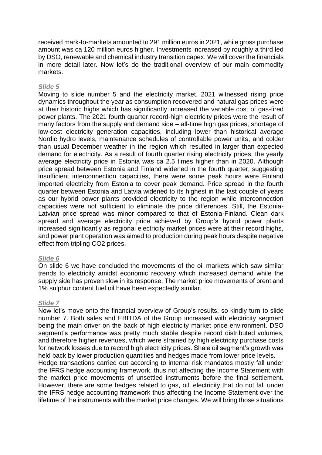received mark-to-markets amounted to 291 million euros in 2021, while gross purchase amount was ca 120 million euros higher. Investments increased by roughly a third led by DSO, renewable and chemical industry transition capex. We will cover the financials in more detail later. Now let's do the traditional overview of our main commodity markets.

#### *Slide 5*

Moving to slide number 5 and the electricity market. 2021 witnessed rising price dynamics throughout the year as consumption recovered and natural gas prices were at their historic highs which has significantly increased the variable cost of gas-fired power plants. The 2021 fourth quarter record-high electricity prices were the result of many factors from the supply and demand side – all-time high gas prices, shortage of low-cost electricity generation capacities, including lower than historical average Nordic hydro levels, maintenance schedules of controllable power units, and colder than usual December weather in the region which resulted in larger than expected demand for electricity. As a result of fourth quarter rising electricity prices, the yearly average electricity price in Estonia was ca 2.5 times higher than in 2020. Although price spread between Estonia and Finland widened in the fourth quarter, suggesting insufficient interconnection capacities, there were some peak hours were Finland imported electricity from Estonia to cover peak demand. Price spread in the fourth quarter between Estonia and Latvia widened to its highest in the last couple of years as our hybrid power plants provided electricity to the region while interconnection capacities were not sufficient to eliminate the price differences. Still, the Estonia-Latvian price spread was minor compared to that of Estonia-Finland. Clean dark spread and average electricity price achieved by Group's hybrid power plants increased significantly as regional electricity market prices were at their record highs, and power plant operation was aimed to production during peak hours despite negative effect from tripling CO2 prices.

## *Slide 6*

On slide 6 we have concluded the movements of the oil markets which saw similar trends to electricity amidst economic recovery which increased demand while the supply side has proven slow in its response. The market price movements of brent and 1% sulphur content fuel oil have been expectedly similar.

## *Slide 7*

Now let's move onto the financial overview of Group's results, so kindly turn to slide number 7. Both sales and EBITDA of the Group increased with electricity segment being the main driver on the back of high electricity market price environment. DSO segment's performance was pretty much stable despite record distributed volumes, and therefore higher revenues, which were strained by high electricity purchase costs for network losses due to record high electricity prices. Shale oil segment's growth was held back by lower production quantities and hedges made from lower price levels. Hedge transactions carried out according to internal risk mandates mostly fall under the IFRS hedge accounting framework, thus not affecting the Income Statement with the market price movements of unsettled instruments before the final settlement.

However, there are some hedges related to gas, oil, electricity that do not fall under the IFRS hedge accounting framework thus affecting the Income Statement over the lifetime of the instruments with the market price changes. We will bring those situations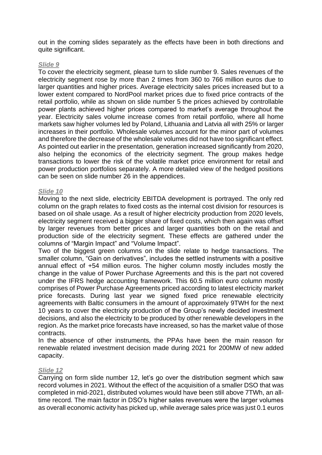out in the coming slides separately as the effects have been in both directions and quite significant.

#### *Slide 9*

To cover the electricity segment, please turn to slide number 9. Sales revenues of the electricity segment rose by more than 2 times from 360 to 766 million euros due to larger quantities and higher prices. Average electricity sales prices increased but to a lower extent compared to NordPool market prices due to fixed price contracts of the retail portfolio, while as shown on slide number 5 the prices achieved by controllable power plants achieved higher prices compared to market's average throughout the year. Electricity sales volume increase comes from retail portfolio, where all home markets saw higher volumes led by Poland, Lithuania and Latvia all with 25% or larger increases in their portfolio. Wholesale volumes account for the minor part of volumes and therefore the decrease of the wholesale volumes did not have too significant effect. As pointed out earlier in the presentation, generation increased significantly from 2020, also helping the economics of the electricity segment. The group makes hedge transactions to lower the risk of the volatile market price environment for retail and power production portfolios separately. A more detailed view of the hedged positions can be seen on slide number 26 in the appendices.

## *Slide 10*

Moving to the next slide, electricity EBITDA development is portrayed. The only red column on the graph relates to fixed costs as the internal cost division for resources is based on oil shale usage. As a result of higher electricity production from 2020 levels, electricity segment received a bigger share of fixed costs, which then again was offset by larger revenues from better prices and larger quantities both on the retail and production side of the electricity segment. These effects are gathered under the columns of "Margin Impact" and "Volume Impact".

Two of the biggest green columns on the slide relate to hedge transactions. The smaller column, "Gain on derivatives", includes the settled instruments with a positive annual effect of +54 million euros. The higher column mostly includes mostly the change in the value of Power Purchase Agreements and this is the part not covered under the IFRS hedge accounting framework. This 60.5 million euro column mostly comprises of Power Purchase Agreements priced according to latest electricity market price forecasts. During last year we signed fixed price renewable electricity agreements with Baltic consumers in the amount of approximately 9TWH for the next 10 years to cover the electricity production of the Group's newly decided investment decisions, and also the electricity to be produced by other renewable developers in the region. As the market price forecasts have increased, so has the market value of those contracts.

In the absence of other instruments, the PPAs have been the main reason for renewable related investment decision made during 2021 for 200MW of new added capacity.

#### *Slide 12*

Carrying on form slide number 12, let's go over the distribution segment which saw record volumes in 2021. Without the effect of the acquisition of a smaller DSO that was completed in mid-2021, distributed volumes would have been still above 7TWh, an alltime record. The main factor in DSO's higher sales revenues were the larger volumes as overall economic activity has picked up, while average sales price was just 0.1 euros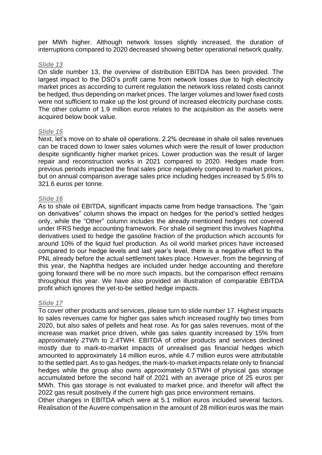per MWh higher. Although network losses slightly increased, the duration of interruptions compared to 2020 decreased showing better operational network quality.

## *Slide 13*

On slide number 13, the overview of distribution EBITDA has been provided. The largest impact to the DSO's profit came from network losses due to high electricity market prices as according to current regulation the network loss related costs cannot be hedged, thus depending on market prices. The larger volumes and lower fixed costs were not sufficient to make up the lost ground of increased electricity purchase costs. The other column of 1.9 million euros relates to the acquisition as the assets were acquired below book value.

#### *Slide 15*

Next, let's move on to shale oil operations. 2.2% decrease in shale oil sales revenues can be traced down to lower sales volumes which were the result of lower production despite significantly higher market prices. Lower production was the result of larger repair and reconstruction works in 2021 compared to 2020. Hedges made from previous periods impacted the final sales price negatively compared to market prices, but on annual comparison average sales price including hedges increased by 5.6% to 321.6 euros per tonne.

## *Slide 16*

As to shale oil EBITDA, significant impacts came from hedge transactions. The "gain on derivatives" column shows the impact on hedges for the period's settled hedges only, while the "Other" column includes the already mentioned hedges not covered under IFRS hedge accounting framework. For shale oil segment this involves Naphtha derivatives used to hedge the gasoline fraction of the production which accounts for around 10% of the liquid fuel production. As oil world market prices have increased compared to our hedge levels and last year's level, there is a negative effect to the PNL already before the actual settlement takes place. However, from the beginning of this year, the Naphtha hedges are included under hedge accounting and therefore going forward there will be no more such impacts, but the comparison effect remains throughout this year. We have also provided an illustration of comparable EBITDA profit which ignores the yet-to-be settled hedge impacts.

#### *Slide 17*

To cover other products and services, please turn to slide number 17. Highest impacts to sales revenues came for higher gas sales which increased roughly two times from 2020, but also sales of pellets and heat rose. As for gas sales revenues, most of the increase was market price driven, while gas sales quantity increased by 15% from approximately 2TWh to 2.4TWH. EBITDA of other products and services declined mostly due to mark-to-market impacts of unrealised gas financial hedges which amounted to approximately 14 million euros, while 4.7 million euros were attributable to the settled part. As to gas hedges, the mark-to-market impacts relate only to financial hedges while the group also owns approximately 0.5TWH of physical gas storage accumulated before the second half of 2021 with an average price of 25 euros per MWh. This gas storage is not evaluated to market price, and therefor will affect the 2022 gas result positively if the current high gas price environment remains.

Other changes in EBITDA which were at 5.1 million euros included several factors. Realisation of the Auvere compensation in the amount of 28 million euros was the main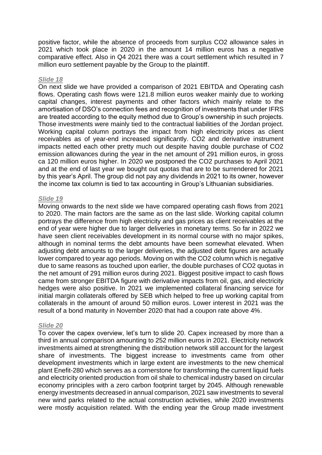positive factor, while the absence of proceeds from surplus CO2 allowance sales in 2021 which took place in 2020 in the amount 14 million euros has a negative comparative effect. Also in Q4 2021 there was a court settlement which resulted in 7 million euro settlement payable by the Group to the plaintiff.

#### *Slide 18*

On next slide we have provided a comparison of 2021 EBITDA and Operating cash flows. Operating cash flows were 121.8 million euros weaker mainly due to working capital changes, interest payments and other factors which mainly relate to the amortisation of DSO's connection fees and recognition of investments that under IFRS are treated according to the equity method due to Group's ownership in such projects. Those investments were mainly tied to the contractual liabilities of the Jordan project. Working capital column portrays the impact from high electricity prices as client receivables as of year-end increased significantly. CO2 and derivative instrument impacts netted each other pretty much out despite having double purchase of CO2 emission allowances during the year in the net amount of 291 million euros, in gross ca 120 million euros higher. In 2020 we postponed the CO2 purchases to April 2021 and at the end of last year we bought out quotas that are to be surrendered for 2021 by this year's April. The group did not pay any dividends in 2021 to its owner, however the income tax column is tied to tax accounting in Group's Lithuanian subsidiaries.

#### *Slide 19*

Moving onwards to the next slide we have compared operating cash flows from 2021 to 2020. The main factors are the same as on the last slide. Working capital column portrays the difference from high electricity and gas prices as client receivables at the end of year were higher due to larger deliveries in monetary terms. So far in 2022 we have seen client receivables development in its normal course with no major spikes, although in nominal terms the debt amounts have been somewhat elevated. When adjusting debt amounts to the larger deliveries, the adjusted debt figures are actually lower compared to year ago periods. Moving on with the CO2 column which is negative due to same reasons as touched upon earlier, the double purchases of CO2 quotas in the net amount of 291 million euros during 2021. Biggest positive impact to cash flows came from stronger EBITDA figure with derivative impacts from oil, gas, and electricity hedges were also positive. In 2021 we implemented collateral financing service for initial margin collaterals offered by SEB which helped to free up working capital from collaterals in the amount of around 50 million euros. Lower interest in 2021 was the result of a bond maturity in November 2020 that had a coupon rate above 4%.

#### *Slide 20*

To cover the capex overview, let's turn to slide 20. Capex increased by more than a third in annual comparison amounting to 252 million euros in 2021. Electricity network investments aimed at strengthening the distribution network still account for the largest share of investments. The biggest increase to investments came from other development investments which in large extent are investments to the new chemical plant Enefit-280 which serves as a cornerstone for transforming the current liquid fuels and electricity oriented production from oil shale to chemical industry based on circular economy principles with a zero carbon footprint target by 2045. Although renewable energy investments decreased in annual comparison, 2021 saw investments to several new wind parks related to the actual construction activities, while 2020 investments were mostly acquisition related. With the ending year the Group made investment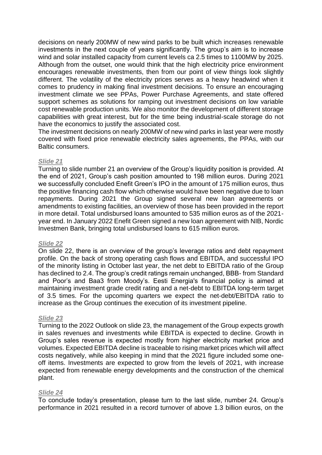decisions on nearly 200MW of new wind parks to be built which increases renewable investments in the next couple of years significantly. The group's aim is to increase wind and solar installed capacity from current levels ca 2.5 times to 1100MW by 2025. Although from the outset, one would think that the high electricity price environment encourages renewable investments, then from our point of view things look slightly different. The volatility of the electricity prices serves as a heavy headwind when it comes to prudency in making final investment decisions. To ensure an encouraging investment climate we see PPAs, Power Purchase Agreements, and state offered support schemes as solutions for ramping out investment decisions on low variable cost renewable production units. We also monitor the development of different storage capabilities with great interest, but for the time being industrial-scale storage do not have the economics to justify the associated cost.

The investment decisions on nearly 200MW of new wind parks in last year were mostly covered with fixed price renewable electricity sales agreements, the PPAs, with our Baltic consumers.

## *Slide 21*

Turning to slide number 21 an overview of the Group's liquidity position is provided. At the end of 2021, Group's cash position amounted to 198 million euros. During 2021 we successfully concluded Enefit Green's IPO in the amount of 175 million euros, thus the positive financing cash flow which otherwise would have been negative due to loan repayments. During 2021 the Group signed several new loan agreements or amendments to existing facilities, an overview of those has been provided in the report in more detail. Total undisbursed loans amounted to 535 million euros as of the 2021 year end. In January 2022 Enefit Green signed a new loan agreement with NIB, Nordic Investmen Bank, bringing total undisbursed loans to 615 million euros.

#### *Slide 22*

On slide 22, there is an overview of the group's leverage ratios and debt repayment profile. On the back of strong operating cash flows and EBITDA, and successful IPO of the minority listing in October last year, the net debt to EBITDA ratio of the Group has declined to 2.4. The group's credit ratings remain unchanged, BBB- from Standard and Poor's and Baa3 from Moody's. Eesti Energia's financial policy is aimed at maintaining investment grade credit rating and a net-debt to EBITDA long-term target of 3.5 times. For the upcoming quarters we expect the net-debt/EBITDA ratio to increase as the Group continues the execution of its investment pipeline.

#### *Slide 23*

Turning to the 2022 Outlook on slide 23, the management of the Group expects growth in sales revenues and investments while EBITDA is expected to decline. Growth in Group's sales revenue is expected mostly from higher electricity market price and volumes. Expected EBITDA decline is traceable to rising market prices which will affect costs negatively, while also keeping in mind that the 2021 figure included some oneoff items. Investments are expected to grow from the levels of 2021, with increase expected from renewable energy developments and the construction of the chemical plant.

#### *Slide 24*

To conclude today's presentation, please turn to the last slide, number 24. Group's performance in 2021 resulted in a record turnover of above 1.3 billion euros, on the